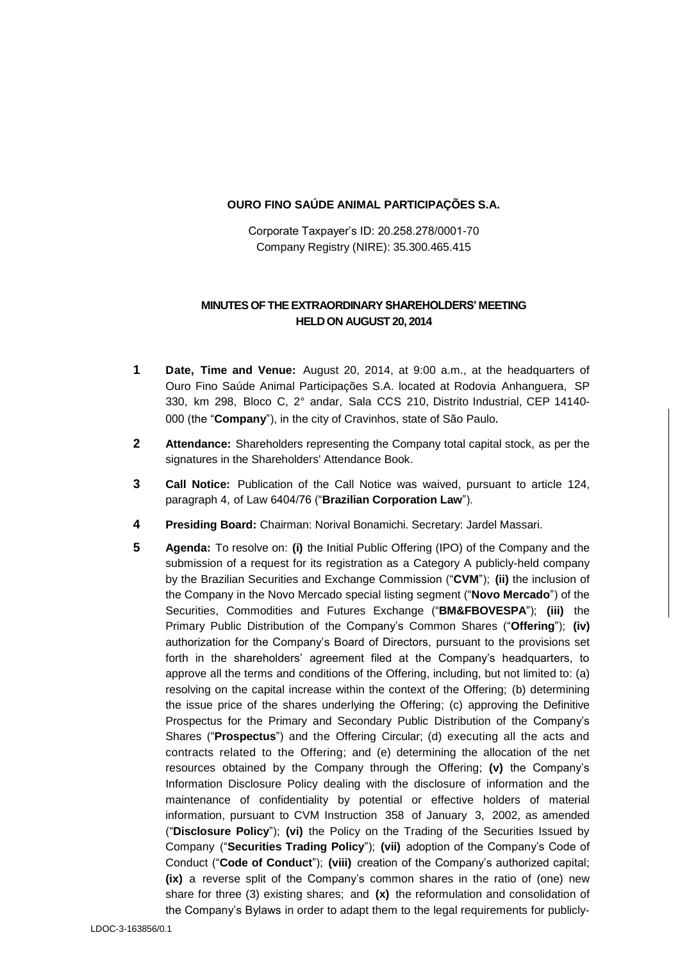#### **OURO FINO SAÚDE ANIMAL PARTICIPAÇÕES S.A.**

Corporate Taxpayer's ID: 20.258.278/0001-70 Company Registry (NIRE): 35.300.465.415

### **MINUTES OF THE EXTRAORDINARY SHAREHOLDERS' MEETING HELD ON AUGUST 20, 2014**

- **1 Date, Time and Venue:** August 20, 2014, at 9:00 a.m., at the headquarters of Ouro Fino Saúde Animal Participações S.A. located at Rodovia Anhanguera, SP 330, km 298, Bloco C, 2° andar, Sala CCS 210, Distrito Industrial, CEP 14140- 000 (the "**Company**"), in the city of Cravinhos, state of São Paulo.
- **2 Attendance:** Shareholders representing the Company total capital stock, as per the signatures in the Shareholders' Attendance Book.
- **3 Call Notice:** Publication of the Call Notice was waived, pursuant to article 124, paragraph 4, of Law 6404/76 ("**Brazilian Corporation Law**").
- **4 Presiding Board:** Chairman: Norival Bonamichi. Secretary: Jardel Massari.
- **5 Agenda:** To resolve on: **(i)** the Initial Public Offering (IPO) of the Company and the submission of a request for its registration as a Category A publicly-held company by the Brazilian Securities and Exchange Commission ("**CVM**"); **(ii)** the inclusion of the Company in the Novo Mercado special listing segment ("**Novo Mercado**") of the Securities, Commodities and Futures Exchange ("**BM&FBOVESPA**"); **(iii)** the Primary Public Distribution of the Company's Common Shares ("**Offering**"); **(iv)** authorization for the Company's Board of Directors, pursuant to the provisions set forth in the shareholders' agreement filed at the Company's headquarters, to approve all the terms and conditions of the Offering, including, but not limited to: (a) resolving on the capital increase within the context of the Offering; (b) determining the issue price of the shares underlying the Offering; (c) approving the Definitive Prospectus for the Primary and Secondary Public Distribution of the Company's Shares ("**Prospectus**") and the Offering Circular; (d) executing all the acts and contracts related to the Offering; and (e) determining the allocation of the net resources obtained by the Company through the Offering; **(v)** the Company's Information Disclosure Policy dealing with the disclosure of information and the maintenance of confidentiality by potential or effective holders of material information, pursuant to CVM Instruction 358 of January 3, 2002, as amended ("**Disclosure Policy**"); **(vi)** the Policy on the Trading of the Securities Issued by Company ("**Securities Trading Policy**"); **(vii)** adoption of the Company's Code of Conduct ("**Code of Conduct**"); **(viii)** creation of the Company's authorized capital; **(ix)** a reverse split of the Company's common shares in the ratio of (one) new share for three (3) existing shares; and **(x)** the reformulation and consolidation of the Company's Bylaws in order to adapt them to the legal requirements for publicly-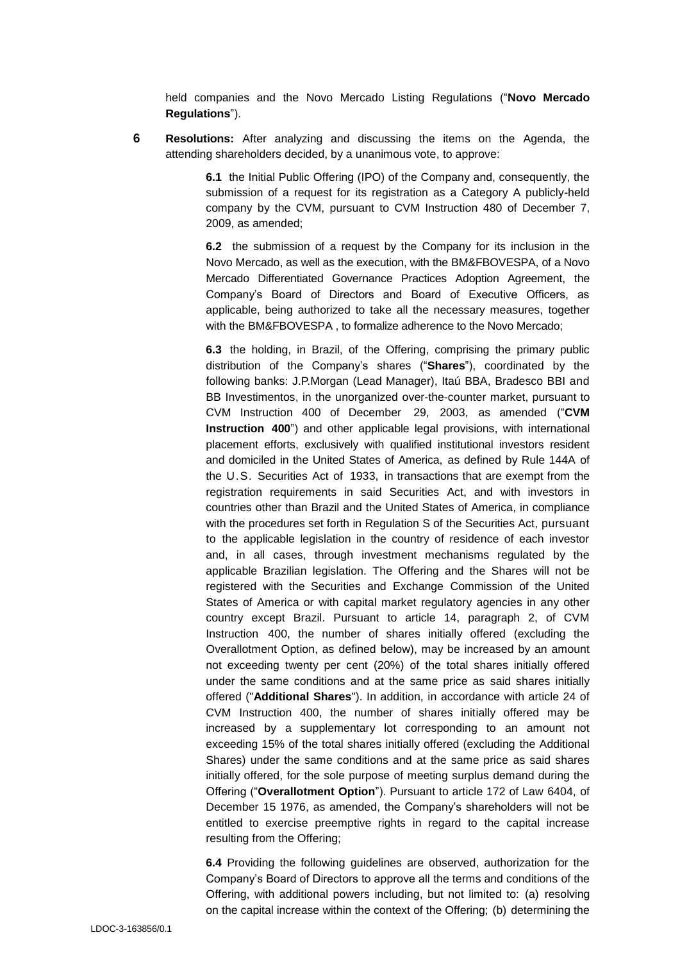held companies and the Novo Mercado Listing Regulations ("**Novo Mercado Regulations**").

**6 Resolutions:** After analyzing and discussing the items on the Agenda, the attending shareholders decided, by a unanimous vote, to approve:

> **6.1** the Initial Public Offering (IPO) of the Company and, consequently, the submission of a request for its registration as a Category A publicly-held company by the CVM, pursuant to CVM Instruction 480 of December 7, 2009, as amended;

> **6.2** the submission of a request by the Company for its inclusion in the Novo Mercado, as well as the execution, with the BM&FBOVESPA, of a Novo Mercado Differentiated Governance Practices Adoption Agreement, the Company's Board of Directors and Board of Executive Officers, as applicable, being authorized to take all the necessary measures, together with the BM&FBOVESPA , to formalize adherence to the Novo Mercado;

> **6.3** the holding, in Brazil, of the Offering, comprising the primary public distribution of the Company's shares ("**Shares**"), coordinated by the following banks: J.P.Morgan (Lead Manager), Itaú BBA, Bradesco BBI and BB Investimentos, in the unorganized over-the-counter market, pursuant to CVM Instruction 400 of December 29, 2003, as amended ("**CVM Instruction 400**") and other applicable legal provisions, with international placement efforts, exclusively with qualified institutional investors resident and domiciled in the United States of America, as defined by Rule 144A of the U.S. Securities Act of 1933, in transactions that are exempt from the registration requirements in said Securities Act, and with investors in countries other than Brazil and the United States of America, in compliance with the procedures set forth in Regulation S of the Securities Act, pursuant to the applicable legislation in the country of residence of each investor and, in all cases, through investment mechanisms regulated by the applicable Brazilian legislation. The Offering and the Shares will not be registered with the Securities and Exchange Commission of the United States of America or with capital market regulatory agencies in any other country except Brazil. Pursuant to article 14, paragraph 2, of CVM Instruction 400, the number of shares initially offered (excluding the Overallotment Option, as defined below), may be increased by an amount not exceeding twenty per cent (20%) of the total shares initially offered under the same conditions and at the same price as said shares initially offered ("**Additional Shares**"). In addition, in accordance with article 24 of CVM Instruction 400, the number of shares initially offered may be increased by a supplementary lot corresponding to an amount not exceeding 15% of the total shares initially offered (excluding the Additional Shares) under the same conditions and at the same price as said shares initially offered, for the sole purpose of meeting surplus demand during the Offering ("**Overallotment Option**"). Pursuant to article 172 of Law 6404, of December 15 1976, as amended, the Company's shareholders will not be entitled to exercise preemptive rights in regard to the capital increase resulting from the Offering;

> **6.4** Providing the following guidelines are observed, authorization for the Company's Board of Directors to approve all the terms and conditions of the Offering, with additional powers including, but not limited to: (a) resolving on the capital increase within the context of the Offering; (b) determining the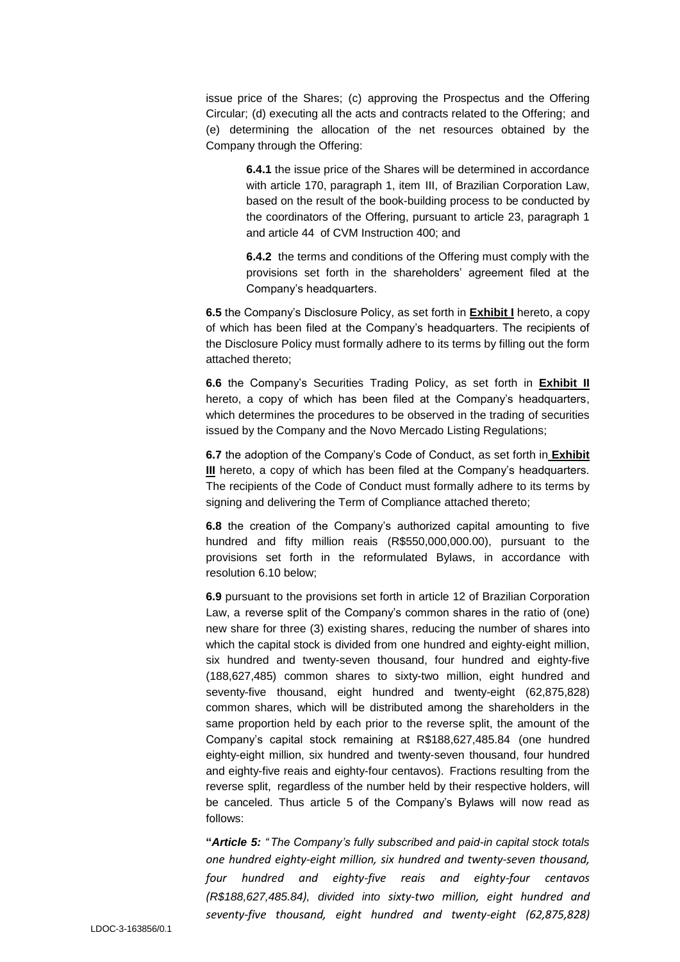issue price of the Shares; (c) approving the Prospectus and the Offering Circular; (d) executing all the acts and contracts related to the Offering; and (e) determining the allocation of the net resources obtained by the Company through the Offering:

> **6.4.1** the issue price of the Shares will be determined in accordance with article 170, paragraph 1, item III, of Brazilian Corporation Law, based on the result of the book-building process to be conducted by the coordinators of the Offering, pursuant to article 23, paragraph 1 and article 44 of CVM Instruction 400; and

> **6.4.2** the terms and conditions of the Offering must comply with the provisions set forth in the shareholders' agreement filed at the Company's headquarters.

**6.5** the Company's Disclosure Policy, as set forth in **Exhibit I** hereto, a copy of which has been filed at the Company's headquarters. The recipients of the Disclosure Policy must formally adhere to its terms by filling out the form attached thereto;

**6.6** the Company's Securities Trading Policy, as set forth in **Exhibit II** hereto, a copy of which has been filed at the Company's headquarters, which determines the procedures to be observed in the trading of securities issued by the Company and the Novo Mercado Listing Regulations;

**6.7** the adoption of the Company's Code of Conduct, as set forth in **Exhibit III** hereto, a copy of which has been filed at the Company's headquarters. The recipients of the Code of Conduct must formally adhere to its terms by signing and delivering the Term of Compliance attached thereto;

**6.8** the creation of the Company's authorized capital amounting to five hundred and fifty million reais (R\$550,000,000.00), pursuant to the provisions set forth in the reformulated Bylaws, in accordance with resolution 6.10 below;

**6.9** pursuant to the provisions set forth in article 12 of Brazilian Corporation Law, a reverse split of the Company's common shares in the ratio of (one) new share for three (3) existing shares, reducing the number of shares into which the capital stock is divided from one hundred and eighty-eight million, six hundred and twenty-seven thousand, four hundred and eighty-five (188,627,485) common shares to sixty-two million, eight hundred and seventy-five thousand, eight hundred and twenty-eight (62,875,828) common shares, which will be distributed among the shareholders in the same proportion held by each prior to the reverse split, the amount of the Company's capital stock remaining at R\$188,627,485.84 (one hundred eighty-eight million, six hundred and twenty-seven thousand, four hundred and eighty-five reais and eighty-four centavos). Fractions resulting from the reverse split, regardless of the number held by their respective holders, will be canceled. Thus article 5 of the Company's Bylaws will now read as follows:

**"***Article 5: " The Company's fully subscribed and paid-in capital stock totals one hundred eighty-eight million, six hundred and twenty-seven thousand, four hundred and eighty-five reais and eighty-four centavos (R\$188,627,485.84), divided into sixty-two million, eight hundred and seventy-five thousand, eight hundred and twenty-eight (62,875,828)*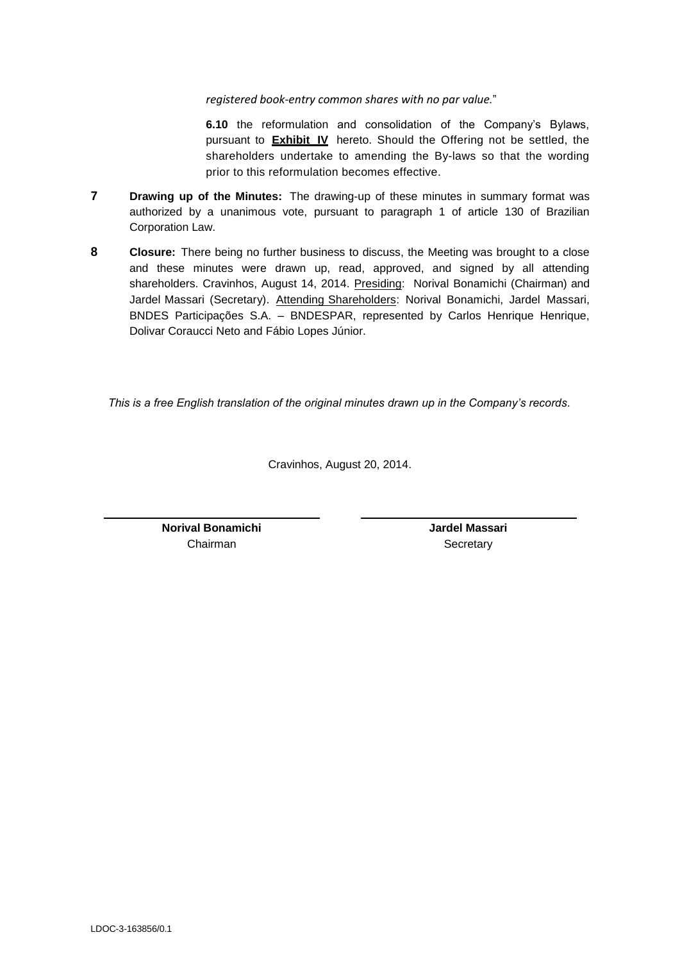*registered book-entry common shares with no par value.*"

**6.10** the reformulation and consolidation of the Company's Bylaws, pursuant to **Exhibit IV** hereto. Should the Offering not be settled, the shareholders undertake to amending the By-laws so that the wording prior to this reformulation becomes effective.

- **7 Drawing up of the Minutes:** The drawing-up of these minutes in summary format was authorized by a unanimous vote, pursuant to paragraph 1 of article 130 of Brazilian Corporation Law.
- **8 Closure:** There being no further business to discuss, the Meeting was brought to a close and these minutes were drawn up, read, approved, and signed by all attending shareholders. Cravinhos, August 14, 2014. Presiding: Norival Bonamichi (Chairman) and Jardel Massari (Secretary). Attending Shareholders: Norival Bonamichi, Jardel Massari, BNDES Participações S.A. – BNDESPAR, represented by Carlos Henrique Henrique, Dolivar Coraucci Neto and Fábio Lopes Júnior.

*This is a free English translation of the original minutes drawn up in the Company's records.*

Cravinhos, August 20, 2014.

**Norival Bonamichi** Chairman

**Jardel Massari Secretary**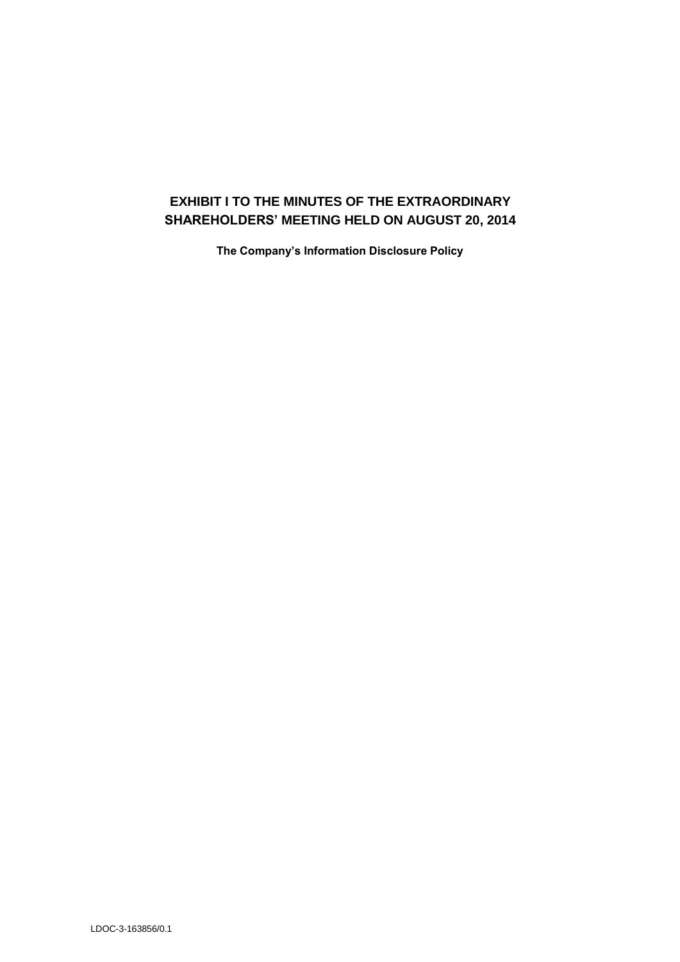# **EXHIBIT I TO THE MINUTES OF THE EXTRAORDINARY SHAREHOLDERS' MEETING HELD ON AUGUST 20, 2014**

**The Company's Information Disclosure Policy**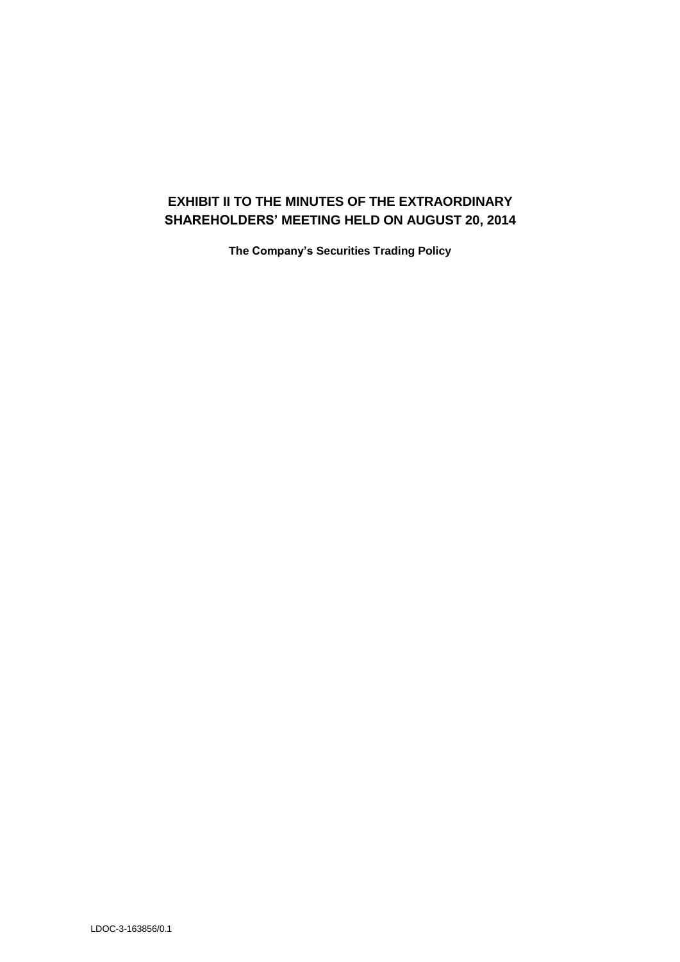## **EXHIBIT II TO THE MINUTES OF THE EXTRAORDINARY SHAREHOLDERS' MEETING HELD ON AUGUST 20, 2014**

**The Company's Securities Trading Policy**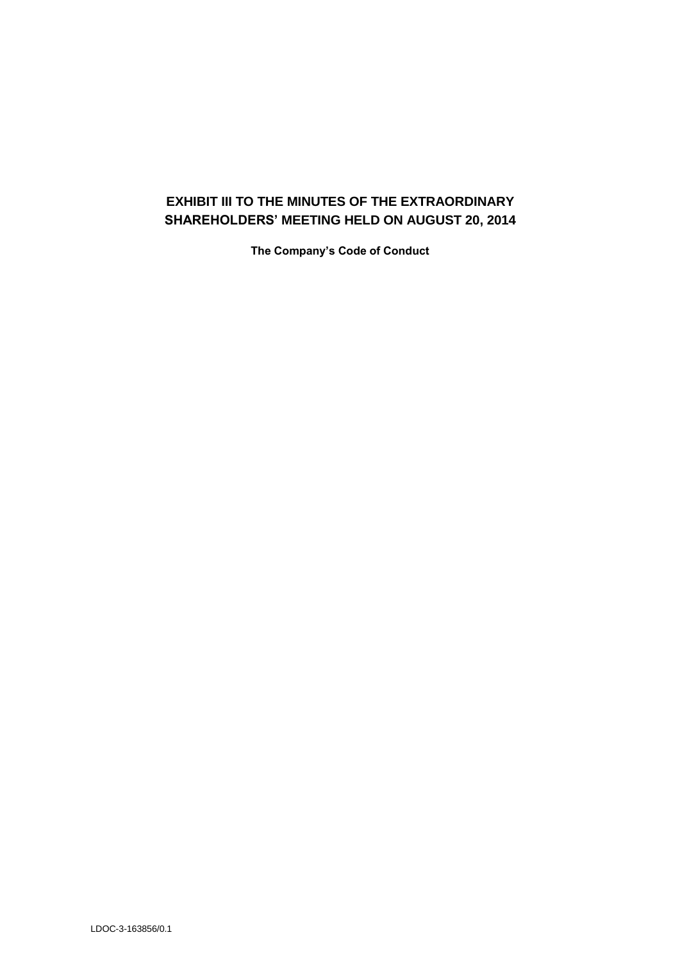# **EXHIBIT III TO THE MINUTES OF THE EXTRAORDINARY SHAREHOLDERS' MEETING HELD ON AUGUST 20, 2014**

**The Company's Code of Conduct**